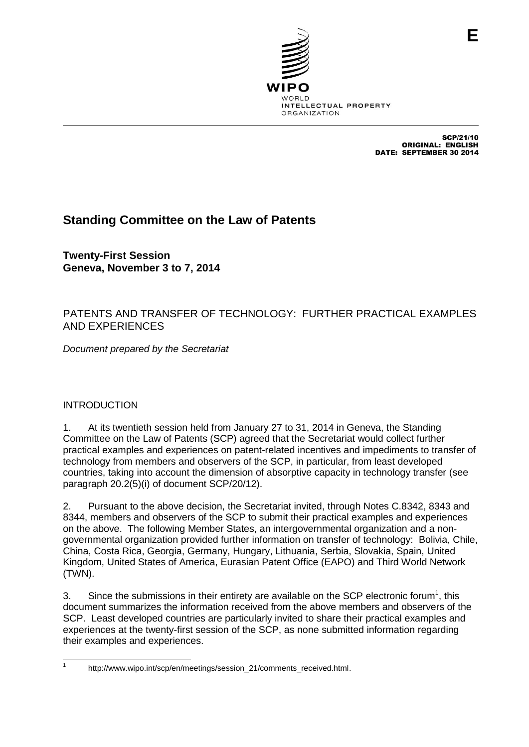

SCP/21/10 ORIGINAL: ENGLISH DATE: SEPTEMBER 30 2014

# **Standing Committee on the Law of Patents**

**Twenty-First Session Geneva, November 3 to 7, 2014**

# PATENTS AND TRANSFER OF TECHNOLOGY: FURTHER PRACTICAL EXAMPLES AND EXPERIENCES

*Document prepared by the Secretariat*

## INTRODUCTION

1. At its twentieth session held from January 27 to 31, 2014 in Geneva, the Standing Committee on the Law of Patents (SCP) agreed that the Secretariat would collect further practical examples and experiences on patent-related incentives and impediments to transfer of technology from members and observers of the SCP, in particular, from least developed countries, taking into account the dimension of absorptive capacity in technology transfer (see paragraph 20.2(5)(i) of document SCP/20/12).

2. Pursuant to the above decision, the Secretariat invited, through Notes C.8342, 8343 and 8344, members and observers of the SCP to submit their practical examples and experiences on the above. The following Member States, an intergovernmental organization and a nongovernmental organization provided further information on transfer of technology: Bolivia, Chile, China, Costa Rica, Georgia, Germany, Hungary, Lithuania, Serbia, Slovakia, Spain, United Kingdom, United States of America, Eurasian Patent Office (EAPO) and Third World Network (TWN).

3. Since the submissions in their entirety are available on the SCP electronic forum<sup>1</sup>, this document summarizes the information received from the above members and observers of the SCP. Least developed countries are particularly invited to share their practical examples and experiences at the twenty-first session of the SCP, as none submitted information regarding their examples and experiences.

 $\frac{1}{1}$ 

http://www.wipo.int/scp/en/meetings/session\_21/comments\_received.html.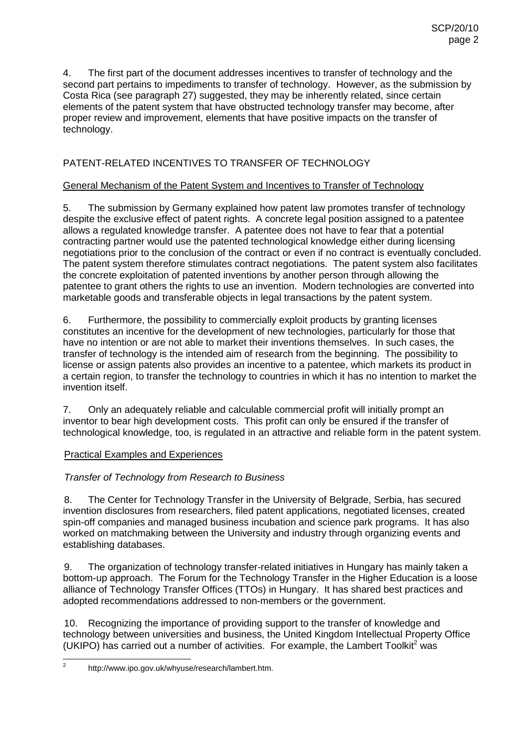4. The first part of the document addresses incentives to transfer of technology and the second part pertains to impediments to transfer of technology. However, as the submission by Costa Rica (see paragraph 27) suggested, they may be inherently related, since certain elements of the patent system that have obstructed technology transfer may become, after proper review and improvement, elements that have positive impacts on the transfer of technology.

## PATENT-RELATED INCENTIVES TO TRANSFER OF TECHNOLOGY

#### General Mechanism of the Patent System and Incentives to Transfer of Technology

5. The submission by Germany explained how patent law promotes transfer of technology despite the exclusive effect of patent rights. A concrete legal position assigned to a patentee allows a regulated knowledge transfer. A patentee does not have to fear that a potential contracting partner would use the patented technological knowledge either during licensing negotiations prior to the conclusion of the contract or even if no contract is eventually concluded. The patent system therefore stimulates contract negotiations. The patent system also facilitates the concrete exploitation of patented inventions by another person through allowing the patentee to grant others the rights to use an invention. Modern technologies are converted into marketable goods and transferable objects in legal transactions by the patent system.

6. Furthermore, the possibility to commercially exploit products by granting licenses constitutes an incentive for the development of new technologies, particularly for those that have no intention or are not able to market their inventions themselves. In such cases, the transfer of technology is the intended aim of research from the beginning. The possibility to license or assign patents also provides an incentive to a patentee, which markets its product in a certain region, to transfer the technology to countries in which it has no intention to market the invention itself.

7. Only an adequately reliable and calculable commercial profit will initially prompt an inventor to bear high development costs. This profit can only be ensured if the transfer of technological knowledge, too, is regulated in an attractive and reliable form in the patent system.

## Practical Examples and Experiences

## *Transfer of Technology from Research to Business*

8. The Center for Technology Transfer in the University of Belgrade, Serbia, has secured invention disclosures from researchers, filed patent applications, negotiated licenses, created spin-off companies and managed business incubation and science park programs. It has also worked on matchmaking between the University and industry through organizing events and establishing databases.

9. The organization of technology transfer-related initiatives in Hungary has mainly taken a bottom-up approach. The Forum for the Technology Transfer in the Higher Education is a loose alliance of Technology Transfer Offices (TTOs) in Hungary. It has shared best practices and adopted recommendations addressed to non-members or the government.

10. Recognizing the importance of providing support to the transfer of knowledge and technology between universities and business, the United Kingdom Intellectual Property Office (UKIPO) has carried out a number of activities. For example, the Lambert Toolkit<sup>2</sup> was

 $\frac{1}{2}$ http://www.ipo.gov.uk/whyuse/research/lambert.htm.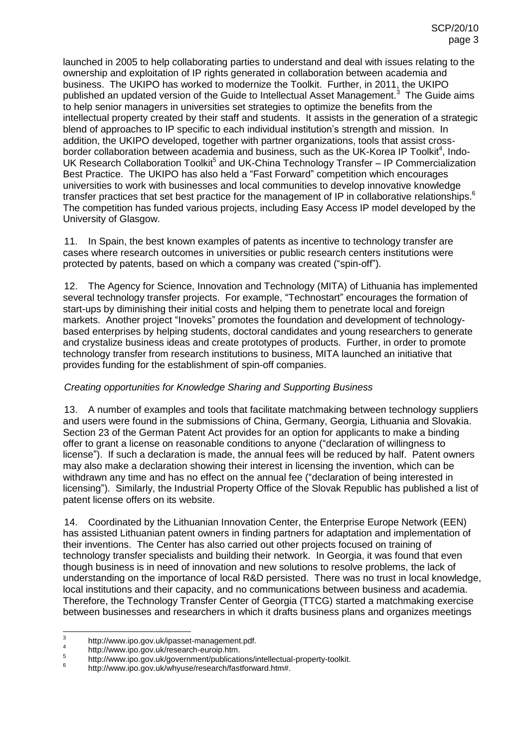launched in 2005 to help collaborating parties to understand and deal with issues relating to the ownership and exploitation of IP rights generated in collaboration between academia and business. The UKIPO has worked to modernize the Toolkit. Further, in 2011, the UKIPO published an updated version of the Guide to Intellectual Asset Management.<sup>3</sup> The Guide aims to help senior managers in universities set strategies to optimize the benefits from the intellectual property created by their staff and students. It assists in the generation of a strategic blend of approaches to IP specific to each individual institution's strength and mission. In addition, the UKIPO developed, together with partner organizations, tools that assist crossborder collaboration between academia and business, such as the UK-Korea IP Toolkit<sup>4</sup>, Indo-UK Research Collaboration Toolkit<sup>5</sup> and UK-China Technology Transfer - IP Commercialization Best Practice. The UKIPO has also held a "Fast Forward" competition which encourages universities to work with businesses and local communities to develop innovative knowledge transfer practices that set best practice for the management of IP in collaborative relationships.<sup>6</sup> The competition has funded various projects, including Easy Access IP model developed by the University of Glasgow.

11. In Spain, the best known examples of patents as incentive to technology transfer are cases where research outcomes in universities or public research centers institutions were protected by patents, based on which a company was created ("spin-off").

12. The Agency for Science, Innovation and Technology (MITA) of Lithuania has implemented several technology transfer projects. For example, "Technostart" encourages the formation of start-ups by diminishing their initial costs and helping them to penetrate local and foreign markets. Another project "Inoveks" promotes the foundation and development of technologybased enterprises by helping students, doctoral candidates and young researchers to generate and crystalize business ideas and create prototypes of products. Further, in order to promote technology transfer from research institutions to business, MITA launched an initiative that provides funding for the establishment of spin-off companies.

## *Creating opportunities for Knowledge Sharing and Supporting Business*

13. A number of examples and tools that facilitate matchmaking between technology suppliers and users were found in the submissions of China, Germany, Georgia, Lithuania and Slovakia. Section 23 of the German Patent Act provides for an option for applicants to make a binding offer to grant a license on reasonable conditions to anyone ("declaration of willingness to license"). If such a declaration is made, the annual fees will be reduced by half. Patent owners may also make a declaration showing their interest in licensing the invention, which can be withdrawn any time and has no effect on the annual fee ("declaration of being interested in licensing"). Similarly, the Industrial Property Office of the Slovak Republic has published a list of patent license offers on its website.

14. Coordinated by the Lithuanian Innovation Center, the Enterprise Europe Network (EEN) has assisted Lithuanian patent owners in finding partners for adaptation and implementation of their inventions. The Center has also carried out other projects focused on training of technology transfer specialists and building their network. In Georgia, it was found that even though business is in need of innovation and new solutions to resolve problems, the lack of understanding on the importance of local R&D persisted. There was no trust in local knowledge, local institutions and their capacity, and no communications between business and academia. Therefore, the Technology Transfer Center of Georgia (TTCG) started a matchmaking exercise between businesses and researchers in which it drafts business plans and organizes meetings

<sup>-&</sup>lt;br>3 http://www.ipo.gov.uk/ipasset-management.pdf.

<sup>4</sup> http://www.ipo.gov.uk/research-euroip.htm.

<sup>5</sup> http://www.ipo.gov.uk/government/publications/intellectual-property-toolkit.

<sup>6</sup> http://www.ipo.gov.uk/whyuse/research/fastforward.htm#.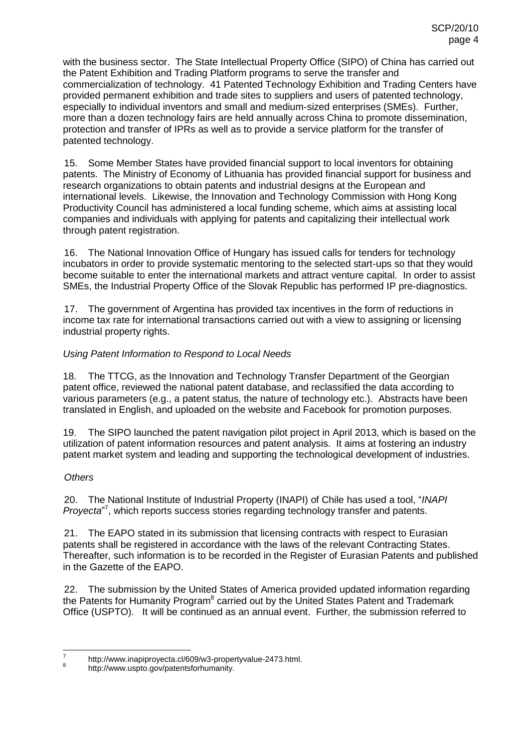with the business sector. The State Intellectual Property Office (SIPO) of China has carried out the Patent Exhibition and Trading Platform programs to serve the transfer and commercialization of technology. 41 Patented Technology Exhibition and Trading Centers have provided permanent exhibition and trade sites to suppliers and users of patented technology, especially to individual inventors and small and medium-sized enterprises (SMEs). Further, more than a dozen technology fairs are held annually across China to promote dissemination, protection and transfer of IPRs as well as to provide a service platform for the transfer of patented technology.

15. Some Member States have provided financial support to local inventors for obtaining patents. The Ministry of Economy of Lithuania has provided financial support for business and research organizations to obtain patents and industrial designs at the European and international levels. Likewise, the Innovation and Technology Commission with Hong Kong Productivity Council has administered a local funding scheme, which aims at assisting local companies and individuals with applying for patents and capitalizing their intellectual work through patent registration.

16. The National Innovation Office of Hungary has issued calls for tenders for technology incubators in order to provide systematic mentoring to the selected start-ups so that they would become suitable to enter the international markets and attract venture capital. In order to assist SMEs, the Industrial Property Office of the Slovak Republic has performed IP pre-diagnostics.

17. The government of Argentina has provided tax incentives in the form of reductions in income tax rate for international transactions carried out with a view to assigning or licensing industrial property rights.

#### *Using Patent Information to Respond to Local Needs*

18. The TTCG, as the Innovation and Technology Transfer Department of the Georgian patent office, reviewed the national patent database, and reclassified the data according to various parameters (e.g., a patent status, the nature of technology etc.). Abstracts have been translated in English, and uploaded on the website and Facebook for promotion purposes.

19. The SIPO launched the patent navigation pilot project in April 2013, which is based on the utilization of patent information resources and patent analysis. It aims at fostering an industry patent market system and leading and supporting the technological development of industries.

#### *Others*

20. The National Institute of Industrial Property (INAPI) of Chile has used a tool, "*INAPI*  Proyecta<sup>"7</sup>, which reports success stories regarding technology transfer and patents.

21. The EAPO stated in its submission that licensing contracts with respect to Eurasian patents shall be registered in accordance with the laws of the relevant Contracting States. Thereafter, such information is to be recorded in the Register of Eurasian Patents and published in the Gazette of the EAPO.

22. The submission by the United States of America provided updated information regarding the Patents for Humanity Program<sup>8</sup> carried out by the United States Patent and Trademark Office (USPTO). It will be continued as an annual event. Further, the submission referred to

 $\frac{1}{7}$ http://www.inapiproyecta.cl/609/w3-propertyvalue-2473.html. 8

http://www.uspto.gov/patentsforhumanity.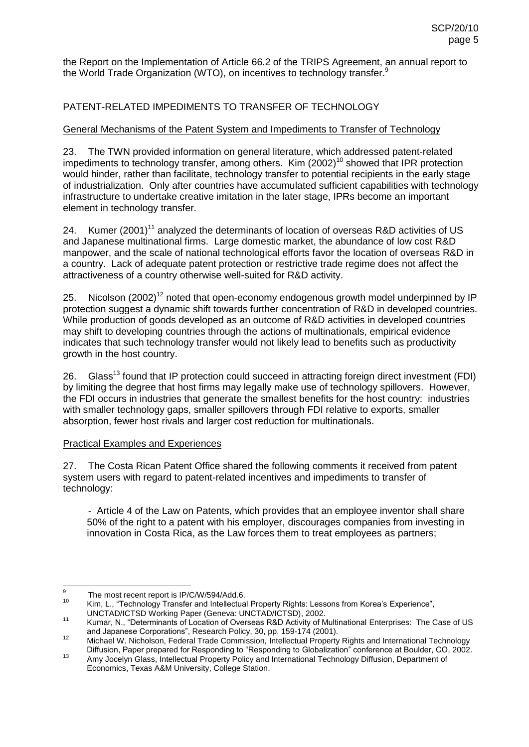the Report on the Implementation of Article 66.2 of the TRIPS Agreement, an annual report to the World Trade Organization (WTO), on incentives to technology transfer. $^9$ 

## PATENT-RELATED IMPEDIMENTS TO TRANSFER OF TECHNOLOGY

#### General Mechanisms of the Patent System and Impediments to Transfer of Technology

23. The TWN provided information on general literature, which addressed patent-related impediments to technology transfer, among others. Kim  $(2002)^{10}$  showed that IPR protection would hinder, rather than facilitate, technology transfer to potential recipients in the early stage of industrialization. Only after countries have accumulated sufficient capabilities with technology infrastructure to undertake creative imitation in the later stage, IPRs become an important element in technology transfer.

24. Kumer  $(2001)^{11}$  analyzed the determinants of location of overseas R&D activities of US and Japanese multinational firms. Large domestic market, the abundance of low cost R&D manpower, and the scale of national technological efforts favor the location of overseas R&D in a country. Lack of adequate patent protection or restrictive trade regime does not affect the attractiveness of a country otherwise well-suited for R&D activity.

25. Nicolson  $(2002)^{12}$  noted that open-economy endogenous growth model underpinned by IP protection suggest a dynamic shift towards further concentration of R&D in developed countries. While production of goods developed as an outcome of R&D activities in developed countries may shift to developing countries through the actions of multinationals, empirical evidence indicates that such technology transfer would not likely lead to benefits such as productivity growth in the host country.

26. Glass<sup>13</sup> found that IP protection could succeed in attracting foreign direct investment (FDI) by limiting the degree that host firms may legally make use of technology spillovers. However, the FDI occurs in industries that generate the smallest benefits for the host country: industries with smaller technology gaps, smaller spillovers through FDI relative to exports, smaller absorption, fewer host rivals and larger cost reduction for multinationals.

#### Practical Examples and Experiences

27. The Costa Rican Patent Office shared the following comments it received from patent system users with regard to patent-related incentives and impediments to transfer of technology:

- Article 4 of the Law on Patents, which provides that an employee inventor shall share 50% of the right to a patent with his employer, discourages companies from investing in innovation in Costa Rica, as the Law forces them to treat employees as partners;

<sup>-&</sup>lt;br>9 The most recent report is IP/C/W/594/Add.6.

<sup>10</sup> Kim, L., "Technology Transfer and Intellectual Property Rights: Lessons from Korea's Experience", UNCTAD/ICTSD Working Paper (Geneva: UNCTAD/ICTSD), 2002.

<sup>11</sup> Kumar, N., "Determinants of Location of Overseas R&D Activity of Multinational Enterprises: The Case of US and Japanese Corporations", Research Policy, 30, pp. 159-174 (2001).

<sup>12</sup> Michael W. Nicholson, Federal Trade Commission, Intellectual Property Rights and International Technology Diffusion, Paper prepared for Responding to "Responding to Globalization" conference at Boulder, CO, 2002.

<sup>13</sup> Amy Jocelyn Glass, Intellectual Property Policy and International Technology Diffusion, Department of Economics, Texas A&M University, College Station.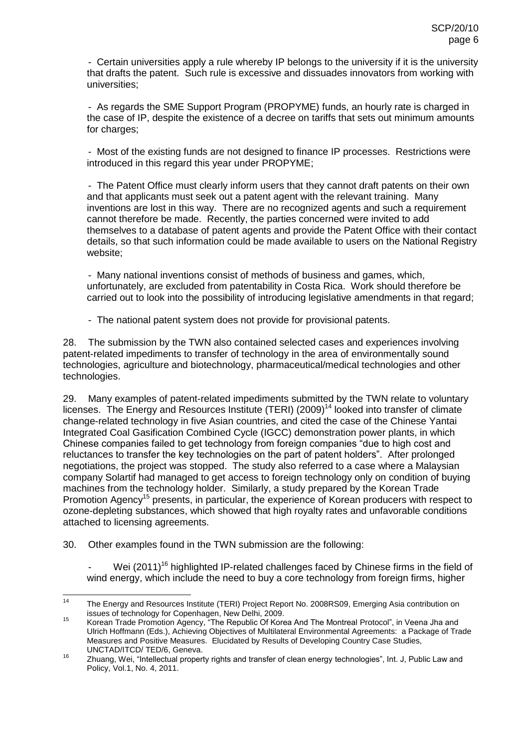- Certain universities apply a rule whereby IP belongs to the university if it is the university that drafts the patent. Such rule is excessive and dissuades innovators from working with universities;

- As regards the SME Support Program (PROPYME) funds, an hourly rate is charged in the case of IP, despite the existence of a decree on tariffs that sets out minimum amounts for charges;

- Most of the existing funds are not designed to finance IP processes. Restrictions were introduced in this regard this year under PROPYME;

- The Patent Office must clearly inform users that they cannot draft patents on their own and that applicants must seek out a patent agent with the relevant training. Many inventions are lost in this way. There are no recognized agents and such a requirement cannot therefore be made. Recently, the parties concerned were invited to add themselves to a database of patent agents and provide the Patent Office with their contact details, so that such information could be made available to users on the National Registry website;

- Many national inventions consist of methods of business and games, which, unfortunately, are excluded from patentability in Costa Rica. Work should therefore be carried out to look into the possibility of introducing legislative amendments in that regard;

- The national patent system does not provide for provisional patents.

28. The submission by the TWN also contained selected cases and experiences involving patent-related impediments to transfer of technology in the area of environmentally sound technologies, agriculture and biotechnology, pharmaceutical/medical technologies and other technologies.

29. Many examples of patent-related impediments submitted by the TWN relate to voluntary licenses. The Energy and Resources Institute (TERI)  $(2009)^{14}$  looked into transfer of climate change-related technology in five Asian countries, and cited the case of the Chinese Yantai Integrated Coal Gasification Combined Cycle (IGCC) demonstration power plants, in which Chinese companies failed to get technology from foreign companies "due to high cost and reluctances to transfer the key technologies on the part of patent holders". After prolonged negotiations, the project was stopped. The study also referred to a case where a Malaysian company Solartif had managed to get access to foreign technology only on condition of buying machines from the technology holder. Similarly, a study prepared by the Korean Trade Promotion Agency<sup>15</sup> presents, in particular, the experience of Korean producers with respect to ozone-depleting substances, which showed that high royalty rates and unfavorable conditions attached to licensing agreements.

30. Other examples found in the TWN submission are the following:

Wei (2011)<sup>16</sup> highlighted IP-related challenges faced by Chinese firms in the field of wind energy, which include the need to buy a core technology from foreign firms, higher

 $14$ The Energy and Resources Institute (TERI) Project Report No. 2008RS09, Emerging Asia contribution on issues of technology for Copenhagen, New Delhi, 2009.

<sup>&</sup>lt;sup>15</sup> Korean Trade Promotion Agency, "The Republic Of Korea And The Montreal Protocol", in Veena Jha and Ulrich Hoffmann (Eds.), Achieving Objectives of Multilateral Environmental Agreements: a Package of Trade Measures and Positive Measures. Elucidated by Results of Developing Country Case Studies, UNCTAD/ITCD/ TED/6, Geneva.

<sup>16</sup> Zhuang, Wei, "Intellectual property rights and transfer of clean energy technologies", Int. J, Public Law and Policy, Vol.1, No. 4, 2011.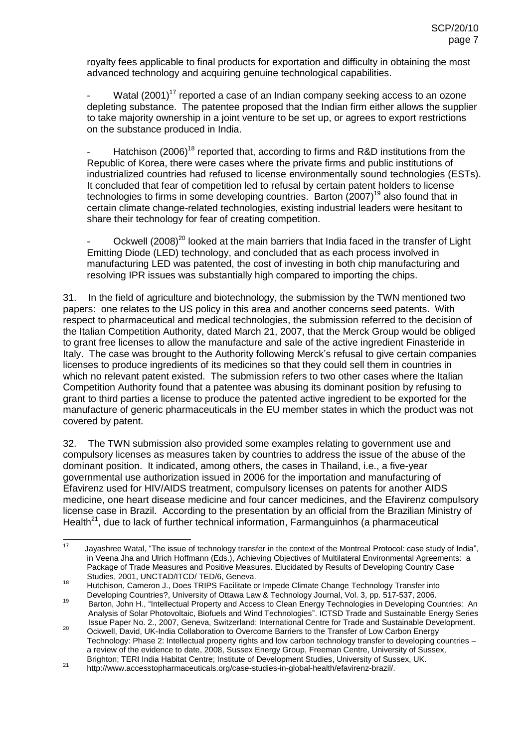royalty fees applicable to final products for exportation and difficulty in obtaining the most advanced technology and acquiring genuine technological capabilities.

- Watal (2001)<sup>17</sup> reported a case of an Indian company seeking access to an ozone depleting substance. The patentee proposed that the Indian firm either allows the supplier to take majority ownership in a joint venture to be set up, or agrees to export restrictions on the substance produced in India.

Hatchison (2006)<sup>18</sup> reported that, according to firms and R&D institutions from the Republic of Korea, there were cases where the private firms and public institutions of industrialized countries had refused to license environmentally sound technologies (ESTs). It concluded that fear of competition led to refusal by certain patent holders to license technologies to firms in some developing countries. Barton  $(2007)^{19}$  also found that in certain climate change-related technologies, existing industrial leaders were hesitant to share their technology for fear of creating competition.

Ockwell (2008)<sup>20</sup> looked at the main barriers that India faced in the transfer of Light Emitting Diode (LED) technology, and concluded that as each process involved in manufacturing LED was patented, the cost of investing in both chip manufacturing and resolving IPR issues was substantially high compared to importing the chips.

31. In the field of agriculture and biotechnology, the submission by the TWN mentioned two papers: one relates to the US policy in this area and another concerns seed patents. With respect to pharmaceutical and medical technologies, the submission referred to the decision of the Italian Competition Authority, dated March 21, 2007, that the Merck Group would be obliged to grant free licenses to allow the manufacture and sale of the active ingredient Finasteride in Italy. The case was brought to the Authority following Merck's refusal to give certain companies licenses to produce ingredients of its medicines so that they could sell them in countries in which no relevant patent existed. The submission refers to two other cases where the Italian Competition Authority found that a patentee was abusing its dominant position by refusing to grant to third parties a license to produce the patented active ingredient to be exported for the manufacture of generic pharmaceuticals in the EU member states in which the product was not covered by patent.

32. The TWN submission also provided some examples relating to government use and compulsory licenses as measures taken by countries to address the issue of the abuse of the dominant position. It indicated, among others, the cases in Thailand, i.e., a five-year governmental use authorization issued in 2006 for the importation and manufacturing of Efavirenz used for HIV/AIDS treatment, compulsory licenses on patents for another AIDS medicine, one heart disease medicine and four cancer medicines, and the Efavirenz compulsory license case in Brazil. According to the presentation by an official from the Brazilian Ministry of Health<sup>21</sup>, due to lack of further technical information, Farmanguinhos (a pharmaceutical

 $17$ Jayashree Watal, "The issue of technology transfer in the context of the Montreal Protocol: case study of India". in Veena Jha and Ulrich Hoffmann (Eds.), Achieving Objectives of Multilateral Environmental Agreements: a Package of Trade Measures and Positive Measures. Elucidated by Results of Developing Country Case Studies, 2001, UNCTAD/ITCD/ TED/6, Geneva.

<sup>18</sup> Hutchison, Cameron J., Does TRIPS Facilitate or Impede Climate Change Technology Transfer into Developing Countries?, University of Ottawa Law & Technology Journal, Vol. 3, pp. 517-537, 2006.

<sup>19</sup> Barton, John H., "Intellectual Property and Access to Clean Energy Technologies in Developing Countries: An Analysis of Solar Photovoltaic, Biofuels and Wind Technologies". ICTSD Trade and Sustainable Energy Series Issue Paper No. 2., 2007, Geneva, Switzerland: International Centre for Trade and Sustainable Development.

<sup>20</sup> Ockwell, David, UK-India Collaboration to Overcome Barriers to the Transfer of Low Carbon Energy Technology: Phase 2: Intellectual property rights and low carbon technology transfer to developing countries – a review of the evidence to date, 2008, Sussex Energy Group, Freeman Centre, University of Sussex, Brighton; TERI India Habitat Centre; Institute of Development Studies, University of Sussex, UK.

<sup>21</sup> http://www.accesstopharmaceuticals.org/case-studies-in-global-health/efavirenz-brazil/.